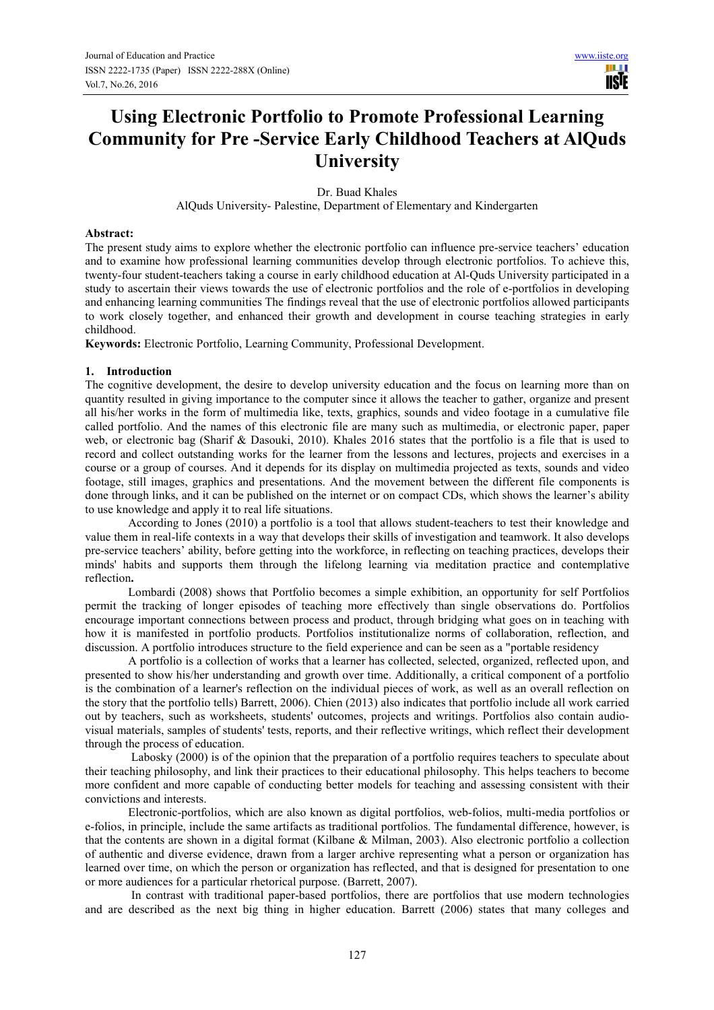**USIE** 

# **Using Electronic Portfolio to Promote Professional Learning Community for Pre -Service Early Childhood Teachers at AlQuds University**

Dr. Buad Khales

AlQuds University- Palestine, Department of Elementary and Kindergarten

## **Abstract:**

The present study aims to explore whether the electronic portfolio can influence pre-service teachers' education and to examine how professional learning communities develop through electronic portfolios. To achieve this, twenty-four student-teachers taking a course in early childhood education at Al-Quds University participated in a study to ascertain their views towards the use of electronic portfolios and the role of e-portfolios in developing and enhancing learning communities The findings reveal that the use of electronic portfolios allowed participants to work closely together, and enhanced their growth and development in course teaching strategies in early childhood.

**Keywords:** Electronic Portfolio, Learning Community, Professional Development.

## **1. Introduction**

The cognitive development, the desire to develop university education and the focus on learning more than on quantity resulted in giving importance to the computer since it allows the teacher to gather, organize and present all his/her works in the form of multimedia like, texts, graphics, sounds and video footage in a cumulative file called portfolio. And the names of this electronic file are many such as multimedia, or electronic paper, paper web, or electronic bag (Sharif & Dasouki, 2010). Khales 2016 states that the portfolio is a file that is used to record and collect outstanding works for the learner from the lessons and lectures, projects and exercises in a course or a group of courses. And it depends for its display on multimedia projected as texts, sounds and video footage, still images, graphics and presentations. And the movement between the different file components is done through links, and it can be published on the internet or on compact CDs, which shows the learner's ability to use knowledge and apply it to real life situations.

According to Jones (2010) a portfolio is a tool that allows student-teachers to test their knowledge and value them in real-life contexts in a way that develops their skills of investigation and teamwork. It also develops pre-service teachers' ability, before getting into the workforce, in reflecting on teaching practices, develops their minds' habits and supports them through the lifelong learning via meditation practice and contemplative reflection**.** 

Lombardi (2008) shows that Portfolio becomes a simple exhibition, an opportunity for self Portfolios permit the tracking of longer episodes of teaching more effectively than single observations do. Portfolios encourage important connections between process and product, through bridging what goes on in teaching with how it is manifested in portfolio products. Portfolios institutionalize norms of collaboration, reflection, and discussion. A portfolio introduces structure to the field experience and can be seen as a "portable residency

A portfolio is a collection of works that a learner has collected, selected, organized, reflected upon, and presented to show his/her understanding and growth over time. Additionally, a critical component of a portfolio is the combination of a learner's reflection on the individual pieces of work, as well as an overall reflection on the story that the portfolio tells) Barrett, 2006). Chien (2013) also indicates that portfolio include all work carried out by teachers, such as worksheets, students' outcomes, projects and writings. Portfolios also contain audiovisual materials, samples of students' tests, reports, and their reflective writings, which reflect their development through the process of education.

 Labosky (2000) is of the opinion that the preparation of a portfolio requires teachers to speculate about their teaching philosophy, and link their practices to their educational philosophy. This helps teachers to become more confident and more capable of conducting better models for teaching and assessing consistent with their convictions and interests.

Electronic-portfolios, which are also known as digital portfolios, web-folios, multi-media portfolios or e-folios, in principle, include the same artifacts as traditional portfolios. The fundamental difference, however, is that the contents are shown in a digital format (Kilbane & Milman, 2003). Also electronic portfolio a collection of authentic and diverse evidence, drawn from a larger archive representing what a person or organization has learned over time, on which the person or organization has reflected, and that is designed for presentation to one or more audiences for a particular rhetorical purpose. (Barrett, 2007).

 In contrast with traditional paper-based portfolios, there are portfolios that use modern technologies and are described as the next big thing in higher education. Barrett (2006) states that many colleges and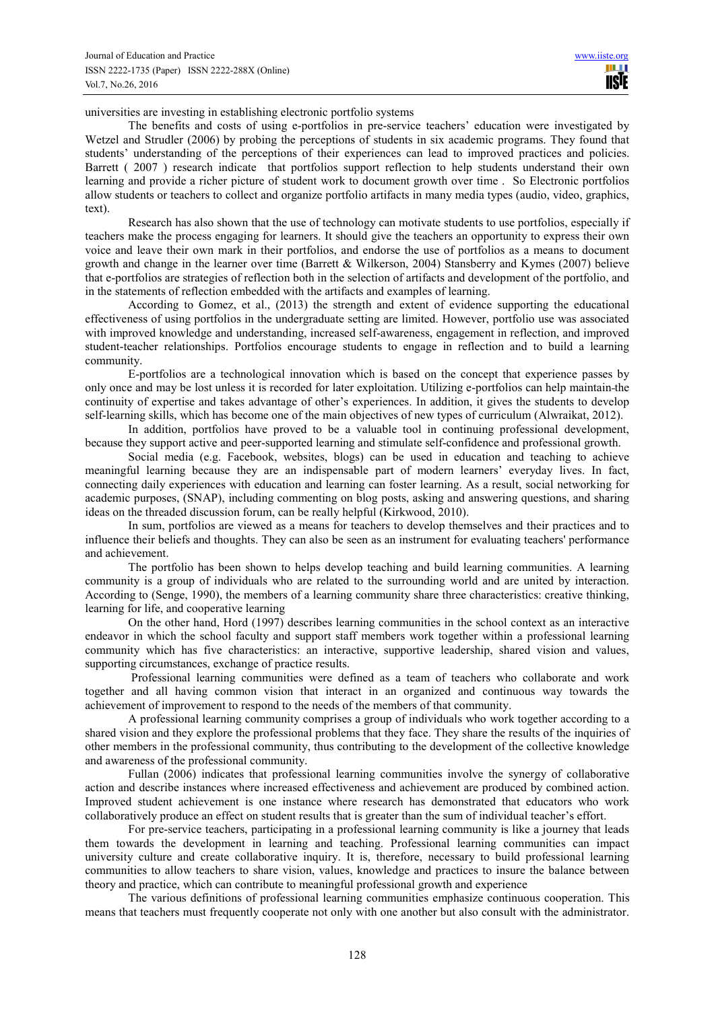universities are investing in establishing electronic portfolio systems

The benefits and costs of using e-portfolios in pre-service teachers' education were investigated by Wetzel and Strudler (2006) by probing the perceptions of students in six academic programs. They found that students' understanding of the perceptions of their experiences can lead to improved practices and policies. Barrett ( 2007 ) research indicate that portfolios support reflection to help students understand their own learning and provide a richer picture of student work to document growth over time . So Electronic portfolios allow students or teachers to collect and organize portfolio artifacts in many media types (audio, video, graphics, text).

Research has also shown that the use of technology can motivate students to use portfolios, especially if teachers make the process engaging for learners. It should give the teachers an opportunity to express their own voice and leave their own mark in their portfolios, and endorse the use of portfolios as a means to document growth and change in the learner over time (Barrett & Wilkerson, 2004) Stansberry and Kymes (2007) believe that e-portfolios are strategies of reflection both in the selection of artifacts and development of the portfolio, and in the statements of reflection embedded with the artifacts and examples of learning.

According to Gomez, et al., (2013) the strength and extent of evidence supporting the educational effectiveness of using portfolios in the undergraduate setting are limited. However, portfolio use was associated with improved knowledge and understanding, increased self-awareness, engagement in reflection, and improved student-teacher relationships. Portfolios encourage students to engage in reflection and to build a learning community.

E-portfolios are a technological innovation which is based on the concept that experience passes by only once and may be lost unless it is recorded for later exploitation. Utilizing e-portfolios can help maintain the continuity of expertise and takes advantage of other's experiences. In addition, it gives the students to develop self-learning skills, which has become one of the main objectives of new types of curriculum (Alwraikat, 2012).

In addition, portfolios have proved to be a valuable tool in continuing professional development, because they support active and peer-supported learning and stimulate self-confidence and professional growth.

Social media (e.g. Facebook, websites, blogs) can be used in education and teaching to achieve meaningful learning because they are an indispensable part of modern learners' everyday lives. In fact, connecting daily experiences with education and learning can foster learning. As a result, social networking for academic purposes, (SNAP), including commenting on blog posts, asking and answering questions, and sharing ideas on the threaded discussion forum, can be really helpful (Kirkwood, 2010).

In sum, portfolios are viewed as a means for teachers to develop themselves and their practices and to influence their beliefs and thoughts. They can also be seen as an instrument for evaluating teachers' performance and achievement.

The portfolio has been shown to helps develop teaching and build learning communities. A learning community is a group of individuals who are related to the surrounding world and are united by interaction. According to (Senge, 1990), the members of a learning community share three characteristics: creative thinking, learning for life, and cooperative learning

On the other hand, Hord (1997) describes learning communities in the school context as an interactive endeavor in which the school faculty and support staff members work together within a professional learning community which has five characteristics: an interactive, supportive leadership, shared vision and values, supporting circumstances, exchange of practice results.

 Professional learning communities were defined as a team of teachers who collaborate and work together and all having common vision that interact in an organized and continuous way towards the achievement of improvement to respond to the needs of the members of that community.

A professional learning community comprises a group of individuals who work together according to a shared vision and they explore the professional problems that they face. They share the results of the inquiries of other members in the professional community, thus contributing to the development of the collective knowledge and awareness of the professional community.

Fullan (2006) indicates that professional learning communities involve the synergy of collaborative action and describe instances where increased effectiveness and achievement are produced by combined action. Improved student achievement is one instance where research has demonstrated that educators who work collaboratively produce an effect on student results that is greater than the sum of individual teacher's effort.

For pre-service teachers, participating in a professional learning community is like a journey that leads them towards the development in learning and teaching. Professional learning communities can impact university culture and create collaborative inquiry. It is, therefore, necessary to build professional learning communities to allow teachers to share vision, values, knowledge and practices to insure the balance between theory and practice, which can contribute to meaningful professional growth and experience

The various definitions of professional learning communities emphasize continuous cooperation. This means that teachers must frequently cooperate not only with one another but also consult with the administrator.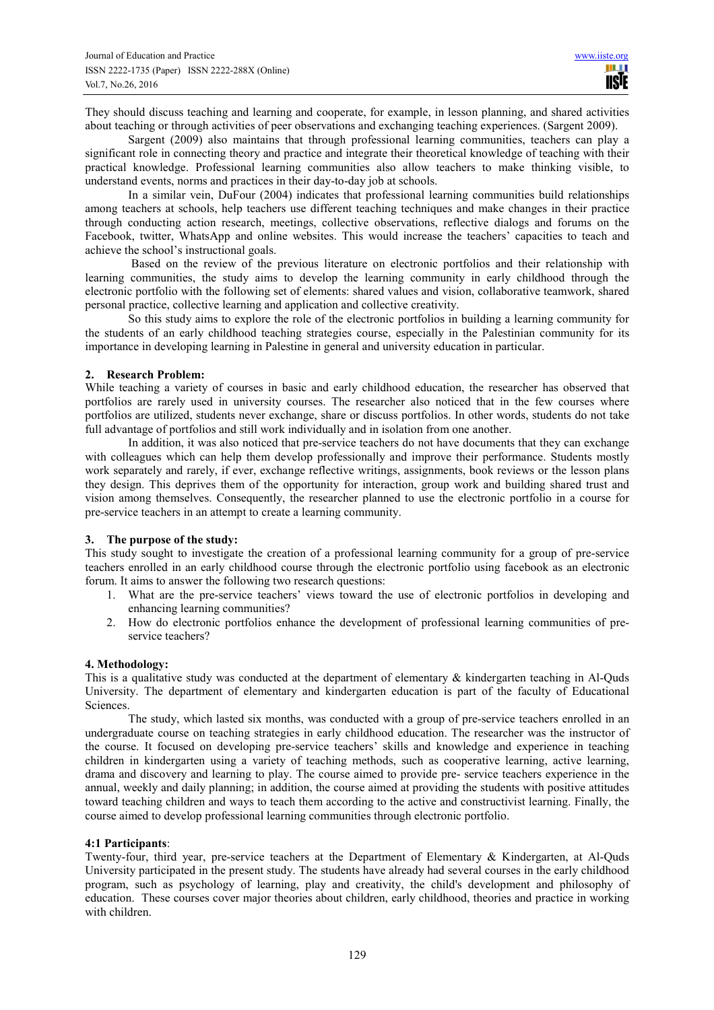They should discuss teaching and learning and cooperate, for example, in lesson planning, and shared activities about teaching or through activities of peer observations and exchanging teaching experiences. (Sargent 2009).

Sargent (2009) also maintains that through professional learning communities, teachers can play a significant role in connecting theory and practice and integrate their theoretical knowledge of teaching with their practical knowledge. Professional learning communities also allow teachers to make thinking visible, to understand events, norms and practices in their day-to-day job at schools.

In a similar vein, DuFour (2004) indicates that professional learning communities build relationships among teachers at schools, help teachers use different teaching techniques and make changes in their practice through conducting action research, meetings, collective observations, reflective dialogs and forums on the Facebook, twitter, WhatsApp and online websites. This would increase the teachers' capacities to teach and achieve the school's instructional goals.

 Based on the review of the previous literature on electronic portfolios and their relationship with learning communities, the study aims to develop the learning community in early childhood through the electronic portfolio with the following set of elements: shared values and vision, collaborative teamwork, shared personal practice, collective learning and application and collective creativity.

So this study aims to explore the role of the electronic portfolios in building a learning community for the students of an early childhood teaching strategies course, especially in the Palestinian community for its importance in developing learning in Palestine in general and university education in particular.

# **2. Research Problem:**

While teaching a variety of courses in basic and early childhood education, the researcher has observed that portfolios are rarely used in university courses. The researcher also noticed that in the few courses where portfolios are utilized, students never exchange, share or discuss portfolios. In other words, students do not take full advantage of portfolios and still work individually and in isolation from one another.

In addition, it was also noticed that pre-service teachers do not have documents that they can exchange with colleagues which can help them develop professionally and improve their performance. Students mostly work separately and rarely, if ever, exchange reflective writings, assignments, book reviews or the lesson plans they design. This deprives them of the opportunity for interaction, group work and building shared trust and vision among themselves. Consequently, the researcher planned to use the electronic portfolio in a course for pre-service teachers in an attempt to create a learning community.

# **3. The purpose of the study:**

This study sought to investigate the creation of a professional learning community for a group of pre-service teachers enrolled in an early childhood course through the electronic portfolio using facebook as an electronic forum. It aims to answer the following two research questions:

- 1. What are the pre-service teachers' views toward the use of electronic portfolios in developing and enhancing learning communities?
- 2. How do electronic portfolios enhance the development of professional learning communities of preservice teachers?

# **4. Methodology:**

This is a qualitative study was conducted at the department of elementary & kindergarten teaching in Al-Quds University. The department of elementary and kindergarten education is part of the faculty of Educational Sciences.

The study, which lasted six months, was conducted with a group of pre-service teachers enrolled in an undergraduate course on teaching strategies in early childhood education. The researcher was the instructor of the course. It focused on developing pre-service teachers' skills and knowledge and experience in teaching children in kindergarten using a variety of teaching methods, such as cooperative learning, active learning, drama and discovery and learning to play. The course aimed to provide pre- service teachers experience in the annual, weekly and daily planning; in addition, the course aimed at providing the students with positive attitudes toward teaching children and ways to teach them according to the active and constructivist learning. Finally, the course aimed to develop professional learning communities through electronic portfolio.

#### **4:1 Participants**:

Twenty-four, third year, pre-service teachers at the Department of Elementary & Kindergarten, at Al-Quds University participated in the present study. The students have already had several courses in the early childhood program, such as psychology of learning, play and creativity, the child's development and philosophy of education. These courses cover major theories about children, early childhood, theories and practice in working with children.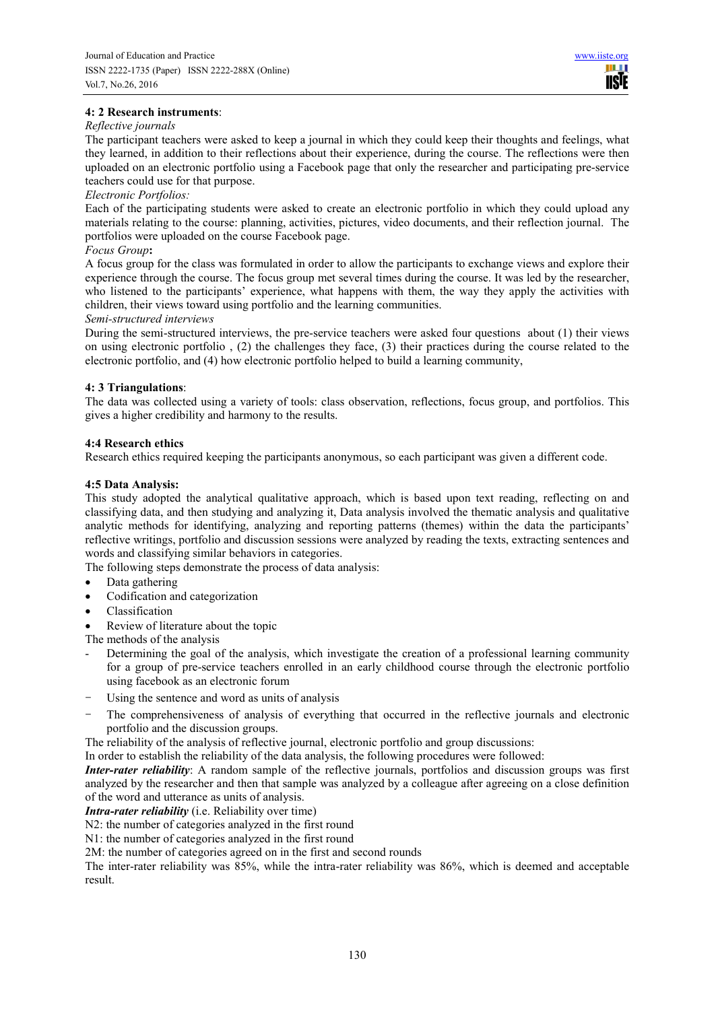# **4: 2 Research instruments**:

## *Reflective journals*

The participant teachers were asked to keep a journal in which they could keep their thoughts and feelings, what they learned, in addition to their reflections about their experience, during the course. The reflections were then uploaded on an electronic portfolio using a Facebook page that only the researcher and participating pre-service teachers could use for that purpose.

## *Electronic Portfolios:*

Each of the participating students were asked to create an electronic portfolio in which they could upload any materials relating to the course: planning, activities, pictures, video documents, and their reflection journal. The portfolios were uploaded on the course Facebook page.

## *Focus Group***:**

A focus group for the class was formulated in order to allow the participants to exchange views and explore their experience through the course. The focus group met several times during the course. It was led by the researcher, who listened to the participants' experience, what happens with them, the way they apply the activities with children, their views toward using portfolio and the learning communities.

#### *Semi-structured interviews*

During the semi-structured interviews, the pre-service teachers were asked four questions about (1) their views on using electronic portfolio,  $(2)$  the challenges they face,  $(3)$  their practices during the course related to the electronic portfolio, and (4) how electronic portfolio helped to build a learning community,

# **4: 3 Triangulations**:

The data was collected using a variety of tools: class observation, reflections, focus group, and portfolios. This gives a higher credibility and harmony to the results.

## **4:4 Research ethics**

Research ethics required keeping the participants anonymous, so each participant was given a different code.

## **4:5 Data Analysis:**

This study adopted the analytical qualitative approach, which is based upon text reading, reflecting on and classifying data, and then studying and analyzing it, Data analysis involved the thematic analysis and qualitative analytic methods for identifying, analyzing and reporting patterns (themes) within the data the participants' reflective writings, portfolio and discussion sessions were analyzed by reading the texts, extracting sentences and words and classifying similar behaviors in categories.

The following steps demonstrate the process of data analysis:

- Data gathering
- Codification and categorization
- Classification
- Review of literature about the topic

The methods of the analysis

- Determining the goal of the analysis, which investigate the creation of a professional learning community for a group of pre-service teachers enrolled in an early childhood course through the electronic portfolio using facebook as an electronic forum
- Using the sentence and word as units of analysis
- The comprehensiveness of analysis of everything that occurred in the reflective journals and electronic portfolio and the discussion groups.

The reliability of the analysis of reflective journal, electronic portfolio and group discussions:

In order to establish the reliability of the data analysis, the following procedures were followed:

*Inter-rater reliability*: A random sample of the reflective journals, portfolios and discussion groups was first analyzed by the researcher and then that sample was analyzed by a colleague after agreeing on a close definition of the word and utterance as units of analysis.

*Intra-rater reliability* (i.e. Reliability over time)

N2: the number of categories analyzed in the first round

N1: the number of categories analyzed in the first round

2M: the number of categories agreed on in the first and second rounds

The inter-rater reliability was 85%, while the intra-rater reliability was 86%, which is deemed and acceptable result.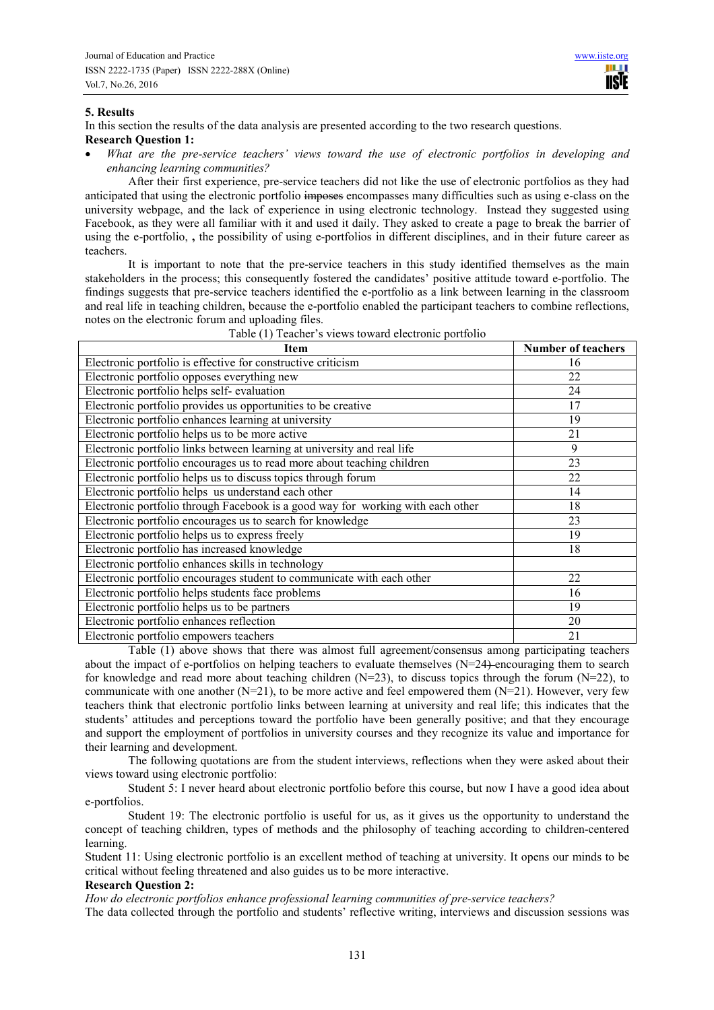## **5. Results**

In this section the results of the data analysis are presented according to the two research questions. **Research Question 1:** 

• *What are the pre-service teachers' views toward the use of electronic portfolios in developing and enhancing learning communities?* 

After their first experience, pre-service teachers did not like the use of electronic portfolios as they had anticipated that using the electronic portfolio imposes encompasses many difficulties such as using e-class on the university webpage, and the lack of experience in using electronic technology. Instead they suggested using Facebook, as they were all familiar with it and used it daily. They asked to create a page to break the barrier of using the e-portfolio, **,** the possibility of using e-portfolios in different disciplines, and in their future career as teachers.

It is important to note that the pre-service teachers in this study identified themselves as the main stakeholders in the process; this consequently fostered the candidates' positive attitude toward e-portfolio. The findings suggests that pre-service teachers identified the e-portfolio as a link between learning in the classroom and real life in teaching children, because the e-portfolio enabled the participant teachers to combine reflections, notes on the electronic forum and uploading files.

| <b>Item</b>                                                                     | <b>Number of teachers</b> |
|---------------------------------------------------------------------------------|---------------------------|
| Electronic portfolio is effective for constructive criticism                    | 16                        |
| Electronic portfolio opposes everything new                                     | 22                        |
| Electronic portfolio helps self- evaluation                                     | 24                        |
| Electronic portfolio provides us opportunities to be creative                   | 17                        |
| Electronic portfolio enhances learning at university                            | 19                        |
| Electronic portfolio helps us to be more active                                 | 21                        |
| Electronic portfolio links between learning at university and real life         | 9                         |
| Electronic portfolio encourages us to read more about teaching children         | 23                        |
| Electronic portfolio helps us to discuss topics through forum                   | 22                        |
| Electronic portfolio helps us understand each other                             | 14                        |
| Electronic portfolio through Facebook is a good way for working with each other | 18                        |
| Electronic portfolio encourages us to search for knowledge                      | 23                        |
| Electronic portfolio helps us to express freely                                 | 19                        |
| Electronic portfolio has increased knowledge                                    | 18                        |
| Electronic portfolio enhances skills in technology                              |                           |
| Electronic portfolio encourages student to communicate with each other          | 22                        |
| Electronic portfolio helps students face problems                               | 16                        |
| Electronic portfolio helps us to be partners                                    | 19                        |
| Electronic portfolio enhances reflection                                        | 20                        |
| Electronic portfolio empowers teachers                                          | 21                        |

Table (1) Teacher's views toward electronic portfolio

Table (1) above shows that there was almost full agreement/consensus among participating teachers about the impact of e-portfolios on helping teachers to evaluate themselves  $(N=24)$  encouraging them to search for knowledge and read more about teaching children  $(N=23)$ , to discuss topics through the forum  $(N=22)$ , to communicate with one another  $(N=21)$ , to be more active and feel empowered them  $(N=21)$ . However, very few teachers think that electronic portfolio links between learning at university and real life; this indicates that the students' attitudes and perceptions toward the portfolio have been generally positive; and that they encourage and support the employment of portfolios in university courses and they recognize its value and importance for their learning and development.

The following quotations are from the student interviews, reflections when they were asked about their views toward using electronic portfolio:

Student 5: I never heard about electronic portfolio before this course, but now I have a good idea about e-portfolios.

Student 19: The electronic portfolio is useful for us, as it gives us the opportunity to understand the concept of teaching children, types of methods and the philosophy of teaching according to children-centered learning.

Student 11: Using electronic portfolio is an excellent method of teaching at university. It opens our minds to be critical without feeling threatened and also guides us to be more interactive.

#### **Research Question 2:**

*How do electronic portfolios enhance professional learning communities of pre-service teachers?* 

The data collected through the portfolio and students' reflective writing, interviews and discussion sessions was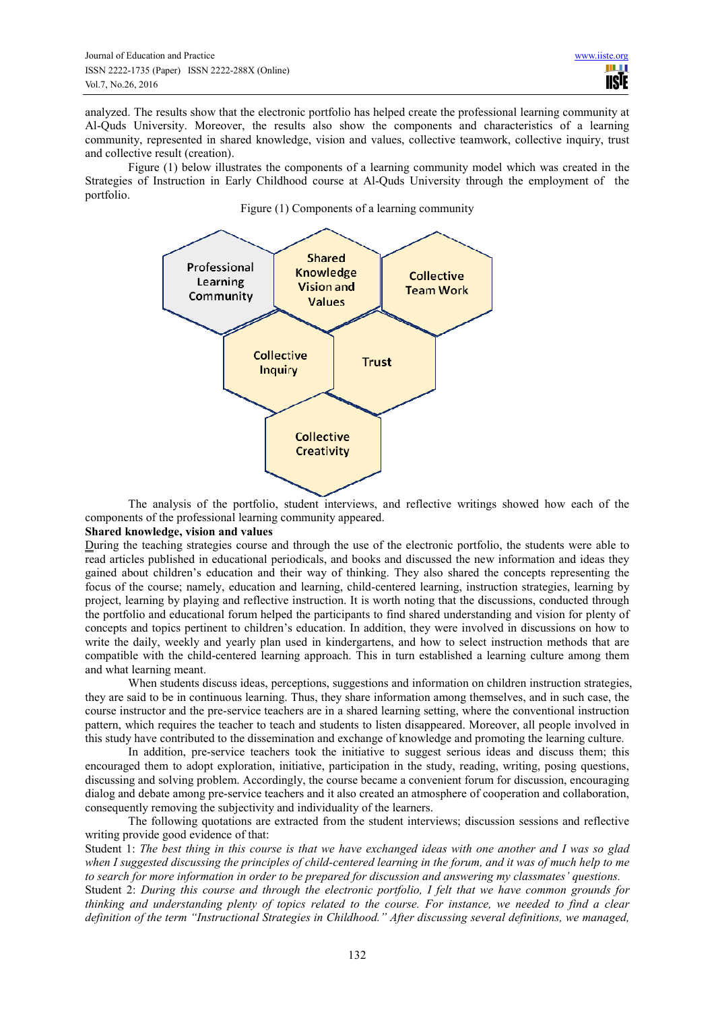analyzed. The results show that the electronic portfolio has helped create the professional learning community at Al-Quds University. Moreover, the results also show the components and characteristics of a learning community, represented in shared knowledge, vision and values, collective teamwork, collective inquiry, trust and collective result (creation).

Figure (1) below illustrates the components of a learning community model which was created in the Strategies of Instruction in Early Childhood course at Al-Quds University through the employment of the portfolio.

Figure (1) Components of a learning community



The analysis of the portfolio, student interviews, and reflective writings showed how each of the components of the professional learning community appeared.

#### **Shared knowledge, vision and values**

During the teaching strategies course and through the use of the electronic portfolio, the students were able to read articles published in educational periodicals, and books and discussed the new information and ideas they gained about children's education and their way of thinking. They also shared the concepts representing the focus of the course; namely, education and learning, child-centered learning, instruction strategies, learning by project, learning by playing and reflective instruction. It is worth noting that the discussions, conducted through the portfolio and educational forum helped the participants to find shared understanding and vision for plenty of concepts and topics pertinent to children's education. In addition, they were involved in discussions on how to write the daily, weekly and yearly plan used in kindergartens, and how to select instruction methods that are compatible with the child-centered learning approach. This in turn established a learning culture among them and what learning meant.

When students discuss ideas, perceptions, suggestions and information on children instruction strategies, they are said to be in continuous learning. Thus, they share information among themselves, and in such case, the course instructor and the pre-service teachers are in a shared learning setting, where the conventional instruction pattern, which requires the teacher to teach and students to listen disappeared. Moreover, all people involved in this study have contributed to the dissemination and exchange of knowledge and promoting the learning culture.

In addition, pre-service teachers took the initiative to suggest serious ideas and discuss them; this encouraged them to adopt exploration, initiative, participation in the study, reading, writing, posing questions, discussing and solving problem. Accordingly, the course became a convenient forum for discussion, encouraging dialog and debate among pre-service teachers and it also created an atmosphere of cooperation and collaboration, consequently removing the subjectivity and individuality of the learners.

The following quotations are extracted from the student interviews; discussion sessions and reflective writing provide good evidence of that:

Student 1: *The best thing in this course is that we have exchanged ideas with one another and I was so glad when I suggested discussing the principles of child-centered learning in the forum, and it was of much help to me to search for more information in order to be prepared for discussion and answering my classmates' questions.* Student 2: *During this course and through the electronic portfolio, I felt that we have common grounds for thinking and understanding plenty of topics related to the course. For instance, we needed to find a clear* 

*definition of the term "Instructional Strategies in Childhood." After discussing several definitions, we managed,*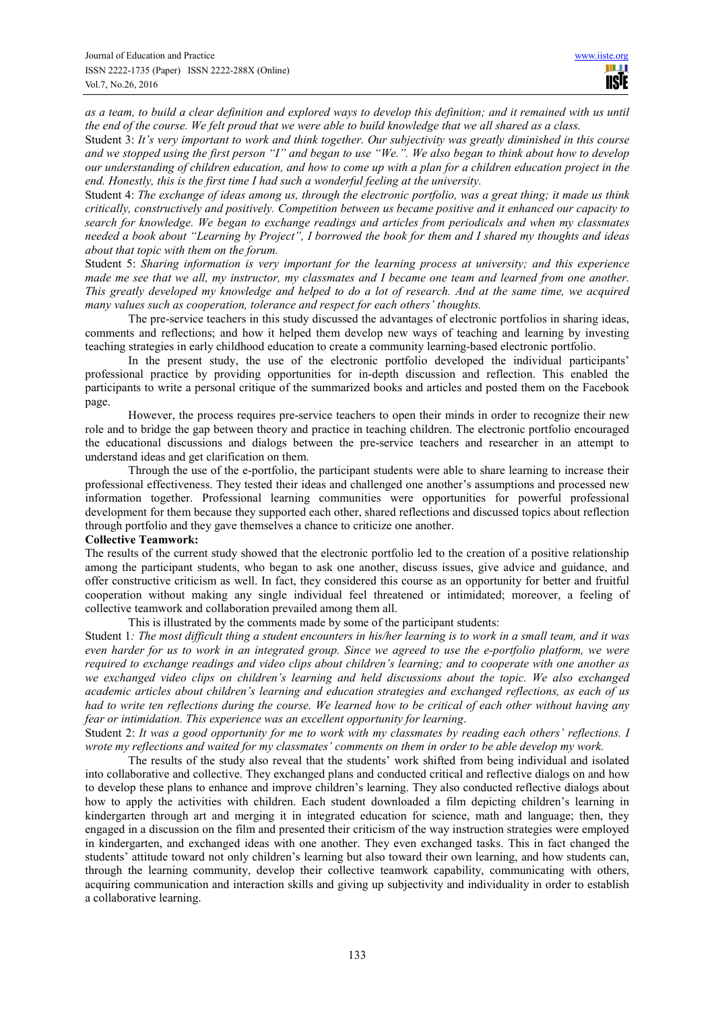*as a team, to build a clear definition and explored ways to develop this definition; and it remained with us until the end of the course. We felt proud that we were able to build knowledge that we all shared as a class.*

Student 3: *It's very important to work and think together. Our subjectivity was greatly diminished in this course and we stopped using the first person "I" and began to use "We.". We also began to think about how to develop our understanding of children education, and how to come up with a plan for a children education project in the end. Honestly, this is the first time I had such a wonderful feeling at the university.*

Student 4: *The exchange of ideas among us, through the electronic portfolio, was a great thing; it made us think critically, constructively and positively. Competition between us became positive and it enhanced our capacity to search for knowledge. We began to exchange readings and articles from periodicals and when my classmates needed a book about "Learning by Project", I borrowed the book for them and I shared my thoughts and ideas about that topic with them on the forum.* 

Student 5: *Sharing information is very important for the learning process at university; and this experience made me see that we all, my instructor, my classmates and I became one team and learned from one another. This greatly developed my knowledge and helped to do a lot of research. And at the same time, we acquired many values such as cooperation, tolerance and respect for each others' thoughts.* 

The pre-service teachers in this study discussed the advantages of electronic portfolios in sharing ideas, comments and reflections; and how it helped them develop new ways of teaching and learning by investing teaching strategies in early childhood education to create a community learning-based electronic portfolio.

In the present study, the use of the electronic portfolio developed the individual participants' professional practice by providing opportunities for in-depth discussion and reflection. This enabled the participants to write a personal critique of the summarized books and articles and posted them on the Facebook page.

However, the process requires pre-service teachers to open their minds in order to recognize their new role and to bridge the gap between theory and practice in teaching children. The electronic portfolio encouraged the educational discussions and dialogs between the pre-service teachers and researcher in an attempt to understand ideas and get clarification on them.

Through the use of the e-portfolio, the participant students were able to share learning to increase their professional effectiveness. They tested their ideas and challenged one another's assumptions and processed new information together. Professional learning communities were opportunities for powerful professional development for them because they supported each other, shared reflections and discussed topics about reflection through portfolio and they gave themselves a chance to criticize one another.

# **Collective Teamwork:**

The results of the current study showed that the electronic portfolio led to the creation of a positive relationship among the participant students, who began to ask one another, discuss issues, give advice and guidance, and offer constructive criticism as well. In fact, they considered this course as an opportunity for better and fruitful cooperation without making any single individual feel threatened or intimidated; moreover, a feeling of collective teamwork and collaboration prevailed among them all.

This is illustrated by the comments made by some of the participant students:

Student 1*: The most difficult thing a student encounters in his/her learning is to work in a small team, and it was even harder for us to work in an integrated group. Since we agreed to use the e-portfolio platform, we were required to exchange readings and video clips about children's learning; and to cooperate with one another as we exchanged video clips on children's learning and held discussions about the topic. We also exchanged academic articles about children's learning and education strategies and exchanged reflections, as each of us had to write ten reflections during the course. We learned how to be critical of each other without having any fear or intimidation. This experience was an excellent opportunity for learning*.

Student 2: *It was a good opportunity for me to work with my classmates by reading each others' reflections. I wrote my reflections and waited for my classmates' comments on them in order to be able develop my work.* 

The results of the study also reveal that the students' work shifted from being individual and isolated into collaborative and collective. They exchanged plans and conducted critical and reflective dialogs on and how to develop these plans to enhance and improve children's learning. They also conducted reflective dialogs about how to apply the activities with children. Each student downloaded a film depicting children's learning in kindergarten through art and merging it in integrated education for science, math and language; then, they engaged in a discussion on the film and presented their criticism of the way instruction strategies were employed in kindergarten, and exchanged ideas with one another. They even exchanged tasks. This in fact changed the students' attitude toward not only children's learning but also toward their own learning, and how students can, through the learning community, develop their collective teamwork capability, communicating with others, acquiring communication and interaction skills and giving up subjectivity and individuality in order to establish a collaborative learning.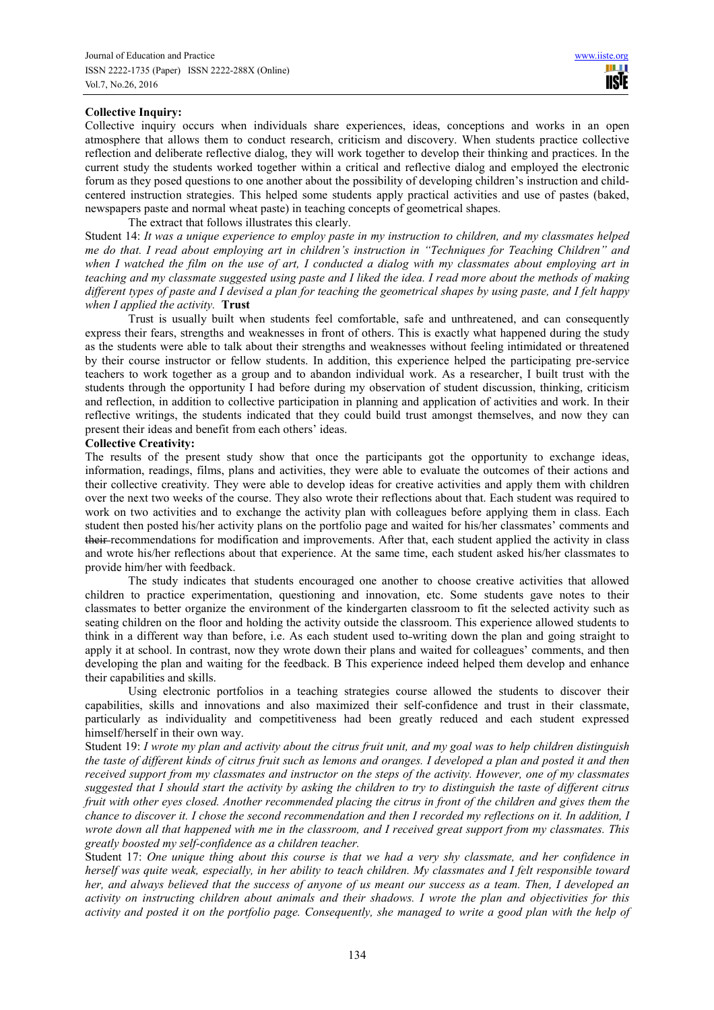## **Collective Inquiry:**

Collective inquiry occurs when individuals share experiences, ideas, conceptions and works in an open atmosphere that allows them to conduct research, criticism and discovery. When students practice collective reflection and deliberate reflective dialog, they will work together to develop their thinking and practices. In the current study the students worked together within a critical and reflective dialog and employed the electronic forum as they posed questions to one another about the possibility of developing children's instruction and childcentered instruction strategies. This helped some students apply practical activities and use of pastes (baked, newspapers paste and normal wheat paste) in teaching concepts of geometrical shapes.

The extract that follows illustrates this clearly. Student 14: *It was a unique experience to employ paste in my instruction to children, and my classmates helped me do that. I read about employing art in children's instruction in "Techniques for Teaching Children" and when I watched the film on the use of art, I conducted a dialog with my classmates about employing art in teaching and my classmate suggested using paste and I liked the idea. I read more about the methods of making different types of paste and I devised a plan for teaching the geometrical shapes by using paste, and I felt happy when I applied the activity.* **Trust** 

Trust is usually built when students feel comfortable, safe and unthreatened, and can consequently express their fears, strengths and weaknesses in front of others. This is exactly what happened during the study as the students were able to talk about their strengths and weaknesses without feeling intimidated or threatened by their course instructor or fellow students. In addition, this experience helped the participating pre-service teachers to work together as a group and to abandon individual work. As a researcher, I built trust with the students through the opportunity I had before during my observation of student discussion, thinking, criticism and reflection, in addition to collective participation in planning and application of activities and work. In their reflective writings, the students indicated that they could build trust amongst themselves, and now they can present their ideas and benefit from each others' ideas.

#### **Collective Creativity:**

The results of the present study show that once the participants got the opportunity to exchange ideas, information, readings, films, plans and activities, they were able to evaluate the outcomes of their actions and their collective creativity. They were able to develop ideas for creative activities and apply them with children over the next two weeks of the course. They also wrote their reflections about that. Each student was required to work on two activities and to exchange the activity plan with colleagues before applying them in class. Each student then posted his/her activity plans on the portfolio page and waited for his/her classmates' comments and their recommendations for modification and improvements. After that, each student applied the activity in class and wrote his/her reflections about that experience. At the same time, each student asked his/her classmates to provide him/her with feedback.

The study indicates that students encouraged one another to choose creative activities that allowed children to practice experimentation, questioning and innovation, etc. Some students gave notes to their classmates to better organize the environment of the kindergarten classroom to fit the selected activity such as seating children on the floor and holding the activity outside the classroom. This experience allowed students to think in a different way than before, i.e. As each student used to writing down the plan and going straight to apply it at school. In contrast, now they wrote down their plans and waited for colleagues' comments, and then developing the plan and waiting for the feedback. B This experience indeed helped them develop and enhance their capabilities and skills.

Using electronic portfolios in a teaching strategies course allowed the students to discover their capabilities, skills and innovations and also maximized their self-confidence and trust in their classmate, particularly as individuality and competitiveness had been greatly reduced and each student expressed himself/herself in their own way.

Student 19: *I wrote my plan and activity about the citrus fruit unit, and my goal was to help children distinguish the taste of different kinds of citrus fruit such as lemons and oranges. I developed a plan and posted it and then received support from my classmates and instructor on the steps of the activity. However, one of my classmates suggested that I should start the activity by asking the children to try to distinguish the taste of different citrus fruit with other eyes closed. Another recommended placing the citrus in front of the children and gives them the chance to discover it. I chose the second recommendation and then I recorded my reflections on it. In addition, I wrote down all that happened with me in the classroom, and I received great support from my classmates. This greatly boosted my self-confidence as a children teacher.* 

Student 17: *One unique thing about this course is that we had a very shy classmate, and her confidence in herself was quite weak, especially, in her ability to teach children. My classmates and I felt responsible toward her, and always believed that the success of anyone of us meant our success as a team. Then, I developed an activity on instructing children about animals and their shadows. I wrote the plan and objectivities for this activity and posted it on the portfolio page. Consequently, she managed to write a good plan with the help of*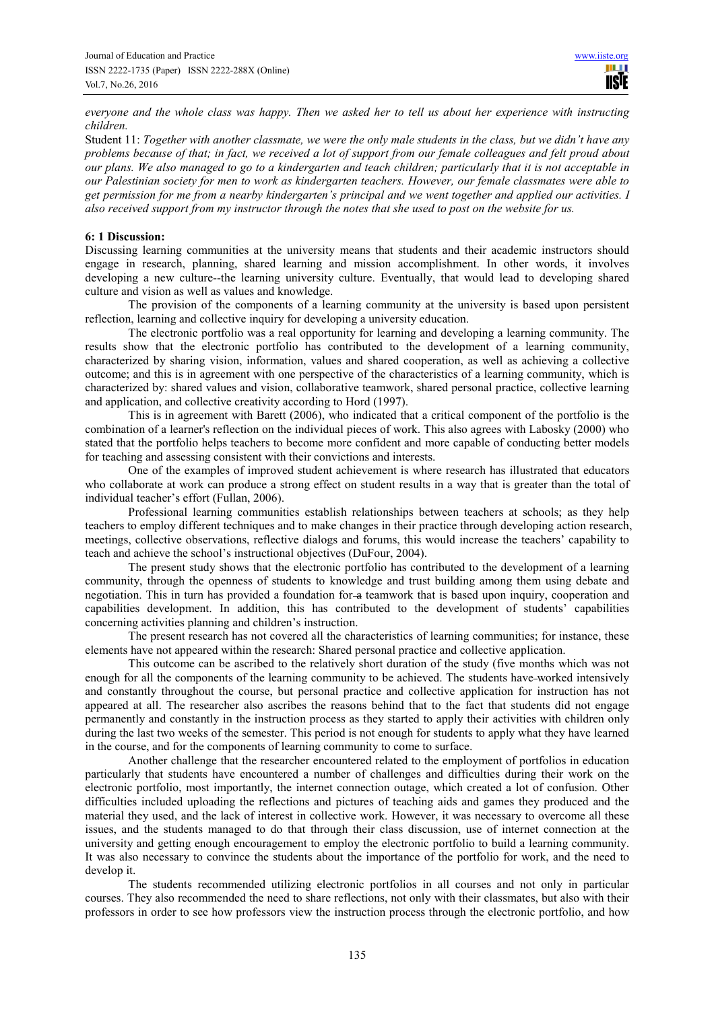*everyone and the whole class was happy. Then we asked her to tell us about her experience with instructing children.* 

Student 11: *Together with another classmate, we were the only male students in the class, but we didn't have any problems because of that; in fact, we received a lot of support from our female colleagues and felt proud about our plans. We also managed to go to a kindergarten and teach children; particularly that it is not acceptable in our Palestinian society for men to work as kindergarten teachers. However, our female classmates were able to get permission for me from a nearby kindergarten's principal and we went together and applied our activities. I also received support from my instructor through the notes that she used to post on the website for us.* 

#### **6: 1 Discussion:**

Discussing learning communities at the university means that students and their academic instructors should engage in research, planning, shared learning and mission accomplishment. In other words, it involves developing a new culture--the learning university culture. Eventually, that would lead to developing shared culture and vision as well as values and knowledge.

The provision of the components of a learning community at the university is based upon persistent reflection, learning and collective inquiry for developing a university education.

The electronic portfolio was a real opportunity for learning and developing a learning community. The results show that the electronic portfolio has contributed to the development of a learning community, characterized by sharing vision, information, values and shared cooperation, as well as achieving a collective outcome; and this is in agreement with one perspective of the characteristics of a learning community, which is characterized by: shared values and vision, collaborative teamwork, shared personal practice, collective learning and application, and collective creativity according to Hord (1997).

This is in agreement with Barett (2006), who indicated that a critical component of the portfolio is the combination of a learner's reflection on the individual pieces of work. This also agrees with Labosky (2000) who stated that the portfolio helps teachers to become more confident and more capable of conducting better models for teaching and assessing consistent with their convictions and interests.

One of the examples of improved student achievement is where research has illustrated that educators who collaborate at work can produce a strong effect on student results in a way that is greater than the total of individual teacher's effort (Fullan, 2006).

Professional learning communities establish relationships between teachers at schools; as they help teachers to employ different techniques and to make changes in their practice through developing action research, meetings, collective observations, reflective dialogs and forums, this would increase the teachers' capability to teach and achieve the school's instructional objectives (DuFour, 2004).

The present study shows that the electronic portfolio has contributed to the development of a learning community, through the openness of students to knowledge and trust building among them using debate and negotiation. This in turn has provided a foundation for-a teamwork that is based upon inquiry, cooperation and capabilities development. In addition, this has contributed to the development of students' capabilities concerning activities planning and children's instruction.

The present research has not covered all the characteristics of learning communities; for instance, these elements have not appeared within the research: Shared personal practice and collective application.

This outcome can be ascribed to the relatively short duration of the study (five months which was not enough for all the components of the learning community to be achieved. The students have worked intensively and constantly throughout the course, but personal practice and collective application for instruction has not appeared at all. The researcher also ascribes the reasons behind that to the fact that students did not engage permanently and constantly in the instruction process as they started to apply their activities with children only during the last two weeks of the semester. This period is not enough for students to apply what they have learned in the course, and for the components of learning community to come to surface.

Another challenge that the researcher encountered related to the employment of portfolios in education particularly that students have encountered a number of challenges and difficulties during their work on the electronic portfolio, most importantly, the internet connection outage, which created a lot of confusion. Other difficulties included uploading the reflections and pictures of teaching aids and games they produced and the material they used, and the lack of interest in collective work. However, it was necessary to overcome all these issues, and the students managed to do that through their class discussion, use of internet connection at the university and getting enough encouragement to employ the electronic portfolio to build a learning community. It was also necessary to convince the students about the importance of the portfolio for work, and the need to develop it.

The students recommended utilizing electronic portfolios in all courses and not only in particular courses. They also recommended the need to share reflections, not only with their classmates, but also with their professors in order to see how professors view the instruction process through the electronic portfolio, and how